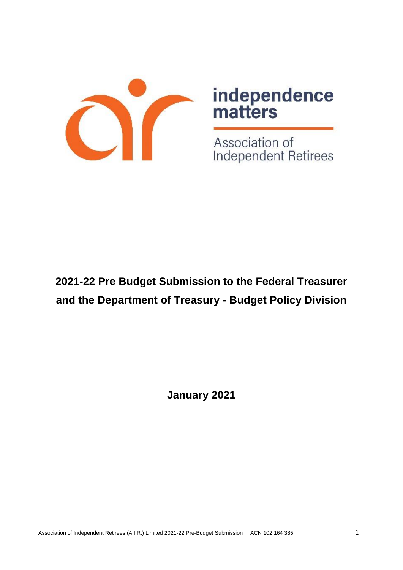

# independence<br>matters

Association of Independent Retirees

# **2021-22 Pre Budget Submission to the Federal Treasurer and the Department of Treasury - Budget Policy Division**

**January 2021**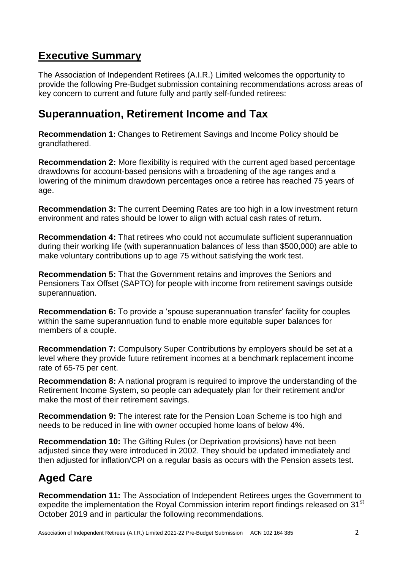# **Executive Summary**

The Association of Independent Retirees (A.I.R.) Limited welcomes the opportunity to provide the following Pre-Budget submission containing recommendations across areas of key concern to current and future fully and partly self-funded retirees:

# **Superannuation, Retirement Income and Tax**

**Recommendation 1:** Changes to Retirement Savings and Income Policy should be grandfathered.

**Recommendation 2:** More flexibility is required with the current aged based percentage drawdowns for account-based pensions with a broadening of the age ranges and a lowering of the minimum drawdown percentages once a retiree has reached 75 years of age.

**Recommendation 3:** The current Deeming Rates are too high in a low investment return environment and rates should be lower to align with actual cash rates of return.

**Recommendation 4:** That retirees who could not accumulate sufficient superannuation during their working life (with superannuation balances of less than \$500,000) are able to make voluntary contributions up to age 75 without satisfying the work test.

**Recommendation 5:** That the Government retains and improves the Seniors and Pensioners Tax Offset (SAPTO) for people with income from retirement savings outside superannuation.

**Recommendation 6:** To provide a 'spouse superannuation transfer' facility for couples within the same superannuation fund to enable more equitable super balances for members of a couple.

**Recommendation 7:** Compulsory Super Contributions by employers should be set at a level where they provide future retirement incomes at a benchmark replacement income rate of 65-75 per cent.

**Recommendation 8:** A national program is required to improve the understanding of the Retirement Income System, so people can adequately plan for their retirement and/or make the most of their retirement savings.

**Recommendation 9:** The interest rate for the Pension Loan Scheme is too high and needs to be reduced in line with owner occupied home loans of below 4%.

**Recommendation 10:** The Gifting Rules (or Deprivation provisions) have not been adjusted since they were introduced in 2002. They should be updated immediately and then adjusted for inflation/CPI on a regular basis as occurs with the Pension assets test.

# **Aged Care**

**Recommendation 11:** The Association of Independent Retirees urges the Government to expedite the implementation the Royal Commission interim report findings released on 31<sup>st</sup> October 2019 and in particular the following recommendations.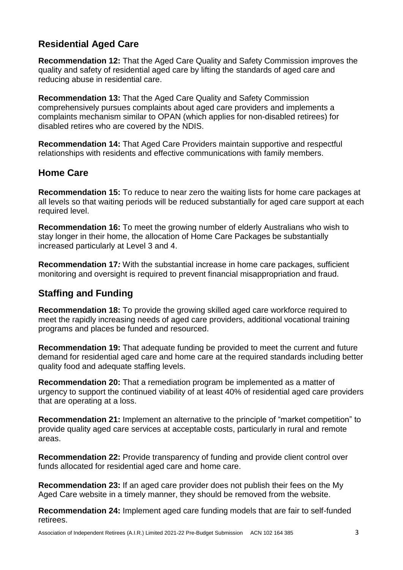# **Residential Aged Care**

**Recommendation 12:** That the Aged Care Quality and Safety Commission improves the quality and safety of residential aged care by lifting the standards of aged care and reducing abuse in residential care.

**Recommendation 13:** That the Aged Care Quality and Safety Commission comprehensively pursues complaints about aged care providers and implements a complaints mechanism similar to OPAN (which applies for non-disabled retirees) for disabled retires who are covered by the NDIS.

**Recommendation 14:** That Aged Care Providers maintain supportive and respectful relationships with residents and effective communications with family members.

## **Home Care**

**Recommendation 15:** To reduce to near zero the waiting lists for home care packages at all levels so that waiting periods will be reduced substantially for aged care support at each required level.

**Recommendation 16:** To meet the growing number of elderly Australians who wish to stay longer in their home, the allocation of Home Care Packages be substantially increased particularly at Level 3 and 4.

**Recommendation 17***:* With the substantial increase in home care packages, sufficient monitoring and oversight is required to prevent financial misappropriation and fraud.

# **Staffing and Funding**

**Recommendation 18:** To provide the growing skilled aged care workforce required to meet the rapidly increasing needs of aged care providers, additional vocational training programs and places be funded and resourced.

**Recommendation 19:** That adequate funding be provided to meet the current and future demand for residential aged care and home care at the required standards including better quality food and adequate staffing levels.

**Recommendation 20:** That a remediation program be implemented as a matter of urgency to support the continued viability of at least 40% of residential aged care providers that are operating at a loss.

**Recommendation 21:** Implement an alternative to the principle of "market competition" to provide quality aged care services at acceptable costs, particularly in rural and remote areas.

**Recommendation 22:** Provide transparency of funding and provide client control over funds allocated for residential aged care and home care.

**Recommendation 23:** If an aged care provider does not publish their fees on the My Aged Care website in a timely manner, they should be removed from the website.

**Recommendation 24:** Implement aged care funding models that are fair to self-funded retirees.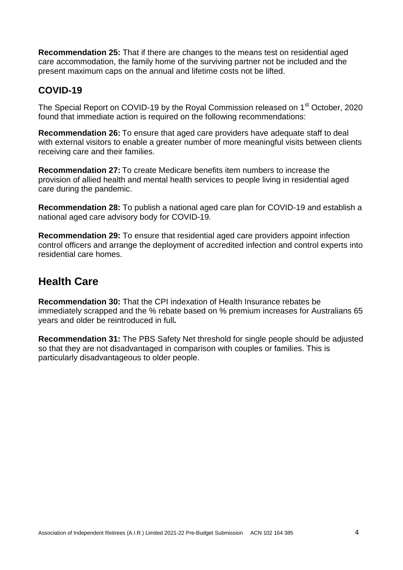**Recommendation 25:** That if there are changes to the means test on residential aged care accommodation, the family home of the surviving partner not be included and the present maximum caps on the annual and lifetime costs not be lifted.

## **COVID-19**

The Special Report on COVID-19 by the Royal Commission released on 1<sup>st</sup> October, 2020 found that immediate action is required on the following recommendations:

**Recommendation 26:** To ensure that aged care providers have adequate staff to deal with external visitors to enable a greater number of more meaningful visits between clients receiving care and their families.

**Recommendation 27:** To create Medicare benefits item numbers to increase the provision of allied health and mental health services to people living in residential aged care during the pandemic.

**Recommendation 28:** To publish a national aged care plan for COVID-19 and establish a national aged care advisory body for COVID-19*.*

**Recommendation 29:** To ensure that residential aged care providers appoint infection control officers and arrange the deployment of accredited infection and control experts into residential care homes.

# **Health Care**

**Recommendation 30:** That the CPI indexation of Health Insurance rebates be immediately scrapped and the % rebate based on % premium increases for Australians 65 years and older be reintroduced in full*.*

**Recommendation 31:** The PBS Safety Net threshold for single people should be adjusted so that they are not disadvantaged in comparison with couples or families. This is particularly disadvantageous to older people.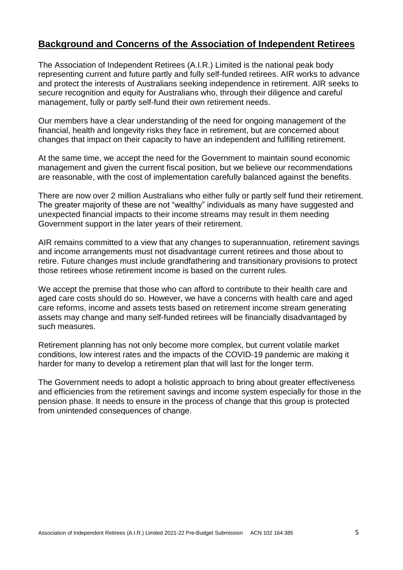## **Background and Concerns of the Association of Independent Retirees**

The Association of Independent Retirees (A.I.R.) Limited is the national peak body representing current and future partly and fully self-funded retirees. AIR works to advance and protect the interests of Australians seeking independence in retirement. AIR seeks to secure recognition and equity for Australians who, through their diligence and careful management, fully or partly self-fund their own retirement needs.

Our members have a clear understanding of the need for ongoing management of the financial, health and longevity risks they face in retirement, but are concerned about changes that impact on their capacity to have an independent and fulfilling retirement.

At the same time, we accept the need for the Government to maintain sound economic management and given the current fiscal position, but we believe our recommendations are reasonable, with the cost of implementation carefully balanced against the benefits.

There are now over 2 million Australians who either fully or partly self fund their retirement. The greater majority of these are not "wealthy" individuals as many have suggested and unexpected financial impacts to their income streams may result in them needing Government support in the later years of their retirement.

AIR remains committed to a view that any changes to superannuation, retirement savings and income arrangements must not disadvantage current retirees and those about to retire. Future changes must include grandfathering and transitionary provisions to protect those retirees whose retirement income is based on the current rules.

We accept the premise that those who can afford to contribute to their health care and aged care costs should do so. However, we have a concerns with health care and aged care reforms, income and assets tests based on retirement income stream generating assets may change and many self-funded retirees will be financially disadvantaged by such measures.

Retirement planning has not only become more complex, but current volatile market conditions, low interest rates and the impacts of the COVID-19 pandemic are making it harder for many to develop a retirement plan that will last for the longer term.

The Government needs to adopt a holistic approach to bring about greater effectiveness and efficiencies from the retirement savings and income system especially for those in the pension phase. It needs to ensure in the process of change that this group is protected from unintended consequences of change.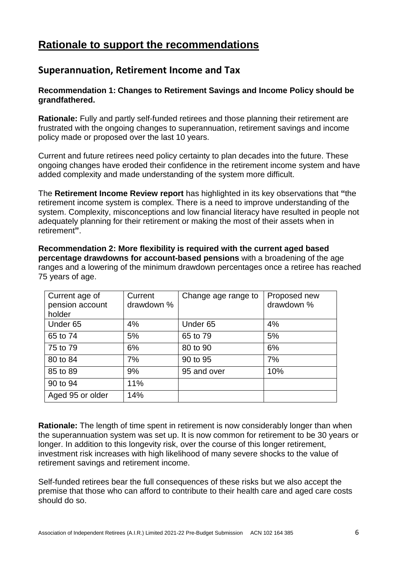# **Rationale to support the recommendations**

## **Superannuation, Retirement Income and Tax**

#### **Recommendation 1: Changes to Retirement Savings and Income Policy should be grandfathered.**

**Rationale:** Fully and partly self-funded retirees and those planning their retirement are frustrated with the ongoing changes to superannuation, retirement savings and income policy made or proposed over the last 10 years.

Current and future retirees need policy certainty to plan decades into the future. These ongoing changes have eroded their confidence in the retirement income system and have added complexity and made understanding of the system more difficult.

The **Retirement Income Review report** has highlighted in its key observations that **"**the retirement income system is complex. There is a need to improve understanding of the system. Complexity, misconceptions and low financial literacy have resulted in people not adequately planning for their retirement or making the most of their assets when in retirement**"**.

**Recommendation 2: More flexibility is required with the current aged based percentage drawdowns for account-based pensions** with a broadening of the age ranges and a lowering of the minimum drawdown percentages once a retiree has reached 75 years of age.

| Current age of<br>pension account<br>holder | Current<br>drawdown % | Change age range to | Proposed new<br>drawdown % |
|---------------------------------------------|-----------------------|---------------------|----------------------------|
| Under <sub>65</sub>                         | 4%                    | Under <sub>65</sub> | 4%                         |
| 65 to 74                                    | 5%                    | 65 to 79            | 5%                         |
| 75 to 79                                    | 6%                    | 80 to 90            | 6%                         |
| 80 to 84                                    | 7%                    | 90 to 95            | 7%                         |
| 85 to 89                                    | 9%                    | 95 and over         | 10%                        |
| 90 to 94                                    | 11%                   |                     |                            |
| Aged 95 or older                            | 14%                   |                     |                            |

**Rationale:** The length of time spent in retirement is now considerably longer than when the superannuation system was set up. It is now common for retirement to be 30 years or longer. In addition to this longevity risk, over the course of this longer retirement, investment risk increases with high likelihood of many severe shocks to the value of retirement savings and retirement income.

Self-funded retirees bear the full consequences of these risks but we also accept the premise that those who can afford to contribute to their health care and aged care costs should do so.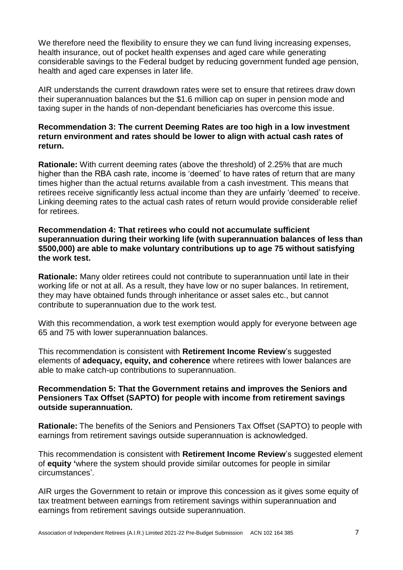We therefore need the flexibility to ensure they we can fund living increasing expenses. health insurance, out of pocket health expenses and aged care while generating considerable savings to the Federal budget by reducing government funded age pension, health and aged care expenses in later life.

AIR understands the current drawdown rates were set to ensure that retirees draw down their superannuation balances but the \$1.6 million cap on super in pension mode and taxing super in the hands of non-dependant beneficiaries has overcome this issue.

#### **Recommendation 3: The current Deeming Rates are too high in a low investment return environment and rates should be lower to align with actual cash rates of return.**

**Rationale:** With current deeming rates (above the threshold) of 2.25% that are much higher than the RBA cash rate, income is 'deemed' to have rates of return that are many times higher than the actual returns available from a cash investment. This means that retirees receive significantly less actual income than they are unfairly 'deemed' to receive. Linking deeming rates to the actual cash rates of return would provide considerable relief for retirees.

#### **Recommendation 4: That retirees who could not accumulate sufficient superannuation during their working life (with superannuation balances of less than \$500,000) are able to make voluntary contributions up to age 75 without satisfying the work test.**

**Rationale:** Many older retirees could not contribute to superannuation until late in their working life or not at all. As a result, they have low or no super balances. In retirement, they may have obtained funds through inheritance or asset sales etc., but cannot contribute to superannuation due to the work test.

With this recommendation, a work test exemption would apply for everyone between age 65 and 75 with lower superannuation balances.

This recommendation is consistent with **Retirement Income Review**'s suggested elements of **adequacy, equity, and coherence** where retirees with lower balances are able to make catch-up contributions to superannuation.

#### **Recommendation 5: That the Government retains and improves the Seniors and Pensioners Tax Offset (SAPTO) for people with income from retirement savings outside superannuation.**

**Rationale:** The benefits of the Seniors and Pensioners Tax Offset (SAPTO) to people with earnings from retirement savings outside superannuation is acknowledged.

This recommendation is consistent with **Retirement Income Review**'s suggested element of **equity '**where the system should provide similar outcomes for people in similar circumstances'.

AIR urges the Government to retain or improve this concession as it gives some equity of tax treatment between earnings from retirement savings within superannuation and earnings from retirement savings outside superannuation.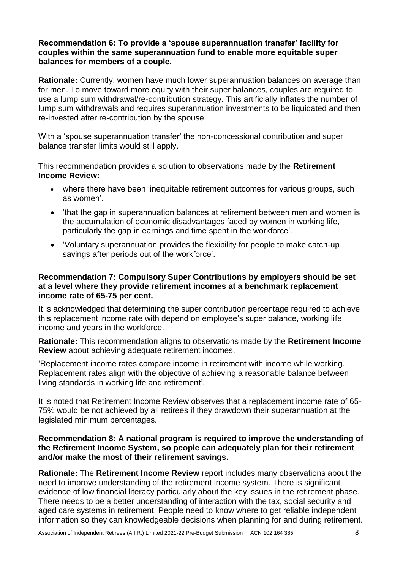#### **Recommendation 6: To provide a 'spouse superannuation transfer' facility for couples within the same superannuation fund to enable more equitable super balances for members of a couple.**

**Rationale:** Currently, women have much lower superannuation balances on average than for men. To move toward more equity with their super balances, couples are required to use a lump sum withdrawal/re-contribution strategy. This artificially inflates the number of lump sum withdrawals and requires superannuation investments to be liquidated and then re-invested after re-contribution by the spouse.

With a 'spouse superannuation transfer' the non-concessional contribution and super balance transfer limits would still apply.

This recommendation provides a solution to observations made by the **Retirement Income Review:** 

- where there have been 'inequitable retirement outcomes for various groups, such as women'.
- 'that the gap in superannuation balances at retirement between men and women is the accumulation of economic disadvantages faced by women in working life, particularly the gap in earnings and time spent in the workforce'.
- 'Voluntary superannuation provides the flexibility for people to make catch-up savings after periods out of the workforce'.

#### **Recommendation 7: Compulsory Super Contributions by employers should be set at a level where they provide retirement incomes at a benchmark replacement income rate of 65-75 per cent.**

It is acknowledged that determining the super contribution percentage required to achieve this replacement income rate with depend on employee's super balance, working life income and years in the workforce.

**Rationale:** This recommendation aligns to observations made by the **Retirement Income Review** about achieving adequate retirement incomes.

'Replacement income rates compare income in retirement with income while working. Replacement rates align with the objective of achieving a reasonable balance between living standards in working life and retirement'.

It is noted that Retirement Income Review observes that a replacement income rate of 65- 75% would be not achieved by all retirees if they drawdown their superannuation at the legislated minimum percentages.

#### **Recommendation 8: A national program is required to improve the understanding of the Retirement Income System, so people can adequately plan for their retirement and/or make the most of their retirement savings.**

**Rationale:** The **Retirement Income Review** report includes many observations about the need to improve understanding of the retirement income system. There is significant evidence of low financial literacy particularly about the key issues in the retirement phase. There needs to be a better understanding of interaction with the tax, social security and aged care systems in retirement. People need to know where to get reliable independent information so they can knowledgeable decisions when planning for and during retirement.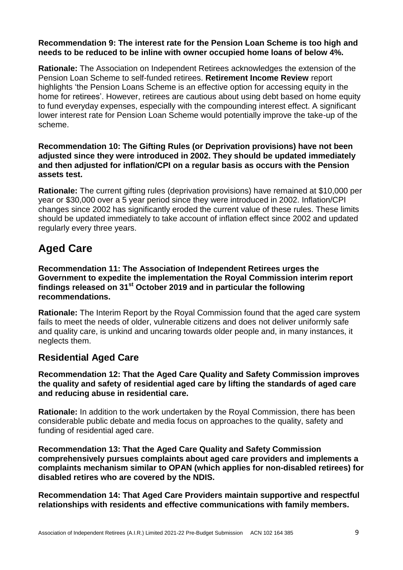#### **Recommendation 9: The interest rate for the Pension Loan Scheme is too high and needs to be reduced to be inline with owner occupied home loans of below 4%.**

**Rationale:** The Association on Independent Retirees acknowledges the extension of the Pension Loan Scheme to self-funded retirees. **Retirement Income Review** report highlights 'the Pension Loans Scheme is an effective option for accessing equity in the home for retirees'. However, retirees are cautious about using debt based on home equity to fund everyday expenses, especially with the compounding interest effect. A significant lower interest rate for Pension Loan Scheme would potentially improve the take-up of the scheme.

#### **Recommendation 10: The Gifting Rules (or Deprivation provisions) have not been adjusted since they were introduced in 2002. They should be updated immediately and then adjusted for inflation/CPI on a regular basis as occurs with the Pension assets test.**

**Rationale:** The current gifting rules (deprivation provisions) have remained at \$10,000 per year or \$30,000 over a 5 year period since they were introduced in 2002. Inflation/CPI changes since 2002 has significantly eroded the current value of these rules. These limits should be updated immediately to take account of inflation effect since 2002 and updated regularly every three years.

# **Aged Care**

**Recommendation 11: The Association of Independent Retirees urges the Government to expedite the implementation the Royal Commission interim report findings released on 31st October 2019 and in particular the following recommendations.**

**Rationale:** The Interim Report by the Royal Commission found that the aged care system fails to meet the needs of older, vulnerable citizens and does not deliver uniformly safe and quality care, is unkind and uncaring towards older people and, in many instances, it neglects them.

## **Residential Aged Care**

#### **Recommendation 12: That the Aged Care Quality and Safety Commission improves the quality and safety of residential aged care by lifting the standards of aged care and reducing abuse in residential care.**

**Rationale:** In addition to the work undertaken by the Royal Commission, there has been considerable public debate and media focus on approaches to the quality, safety and funding of residential aged care.

**Recommendation 13: That the Aged Care Quality and Safety Commission comprehensively pursues complaints about aged care providers and implements a complaints mechanism similar to OPAN (which applies for non-disabled retirees) for disabled retires who are covered by the NDIS.**

**Recommendation 14: That Aged Care Providers maintain supportive and respectful relationships with residents and effective communications with family members.**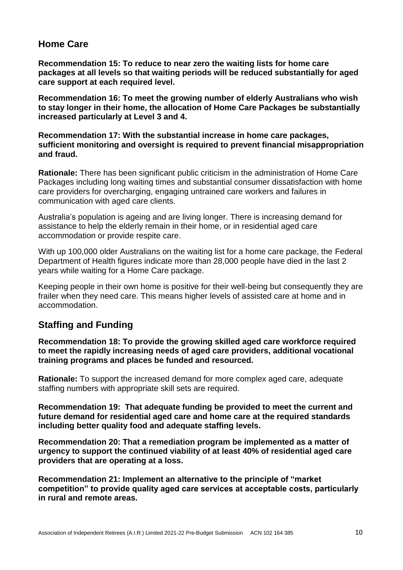## **Home Care**

**Recommendation 15: To reduce to near zero the waiting lists for home care packages at all levels so that waiting periods will be reduced substantially for aged care support at each required level.** 

**Recommendation 16: To meet the growing number of elderly Australians who wish to stay longer in their home, the allocation of Home Care Packages be substantially increased particularly at Level 3 and 4.** 

**Recommendation 17: With the substantial increase in home care packages, sufficient monitoring and oversight is required to prevent financial misappropriation and fraud.**

**Rationale:** There has been significant public criticism in the administration of Home Care Packages including long waiting times and substantial consumer dissatisfaction with home care providers for overcharging, engaging untrained care workers and failures in communication with aged care clients.

Australia's population is ageing and are living longer. There is increasing demand for assistance to help the elderly remain in their home, or in residential aged care accommodation or provide respite care.

With up 100,000 older Australians on the waiting list for a home care package, the Federal Department of Health figures indicate more than 28,000 people have died in the last 2 years while waiting for a Home Care package.

Keeping people in their own home is positive for their well-being but consequently they are frailer when they need care. This means higher levels of assisted care at home and in accommodation.

## **Staffing and Funding**

**Recommendation 18: To provide the growing skilled aged care workforce required to meet the rapidly increasing needs of aged care providers, additional vocational training programs and places be funded and resourced.** 

**Rationale:** To support the increased demand for more complex aged care, adequate staffing numbers with appropriate skill sets are required.

**Recommendation 19: That adequate funding be provided to meet the current and future demand for residential aged care and home care at the required standards including better quality food and adequate staffing levels.**

**Recommendation 20: That a remediation program be implemented as a matter of urgency to support the continued viability of at least 40% of residential aged care providers that are operating at a loss.**

**Recommendation 21: Implement an alternative to the principle of "market competition" to provide quality aged care services at acceptable costs, particularly in rural and remote areas.**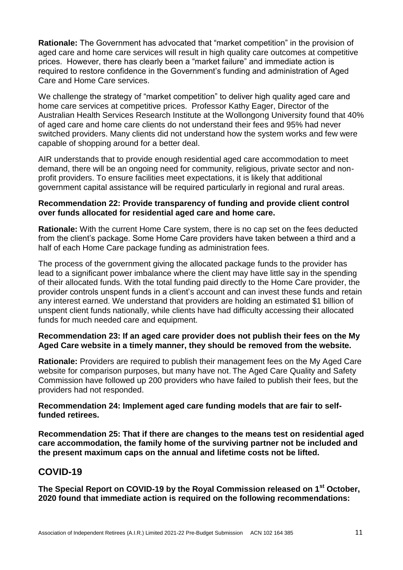**Rationale:** The Government has advocated that "market competition" in the provision of aged care and home care services will result in high quality care outcomes at competitive prices. However, there has clearly been a "market failure" and immediate action is required to restore confidence in the Government's funding and administration of Aged Care and Home Care services.

We challenge the strategy of "market competition" to deliver high quality aged care and home care services at competitive prices. Professor Kathy Eager, Director of the Australian Health Services Research Institute at the Wollongong University found that 40% of aged care and home care clients do not understand their fees and 95% had never switched providers. Many clients did not understand how the system works and few were capable of shopping around for a better deal.

AIR understands that to provide enough residential aged care accommodation to meet demand, there will be an ongoing need for community, religious, private sector and nonprofit providers. To ensure facilities meet expectations, it is likely that additional government capital assistance will be required particularly in regional and rural areas.

#### **Recommendation 22: Provide transparency of funding and provide client control over funds allocated for residential aged care and home care.**

**Rationale:** With the current Home Care system, there is no cap set on the fees deducted from the client's package. Some Home Care providers have taken between a third and a half of each Home Care package funding as administration fees.

The process of the government giving the allocated package funds to the provider has lead to a significant power imbalance where the client may have little say in the spending of their allocated funds. With the total funding paid directly to the Home Care provider, the provider controls unspent funds in a client's account and can invest these funds and retain any interest earned. We understand that providers are holding an estimated \$1 billion of unspent client funds nationally, while clients have had difficulty accessing their allocated funds for much needed care and equipment.

#### **Recommendation 23: If an aged care provider does not publish their fees on the My Aged Care website in a timely manner, they should be removed from the website.**

**Rationale:** Providers are required to publish their management fees on the My Aged Care website for comparison purposes, but many have not. The Aged Care Quality and Safety Commission have followed up 200 providers who have failed to publish their fees, but the providers had not responded.

#### **Recommendation 24: Implement aged care funding models that are fair to selffunded retirees.**

**Recommendation 25: That if there are changes to the means test on residential aged care accommodation, the family home of the surviving partner not be included and the present maximum caps on the annual and lifetime costs not be lifted.**

### **COVID-19**

**The Special Report on COVID-19 by the Royal Commission released on 1st October, 2020 found that immediate action is required on the following recommendations:**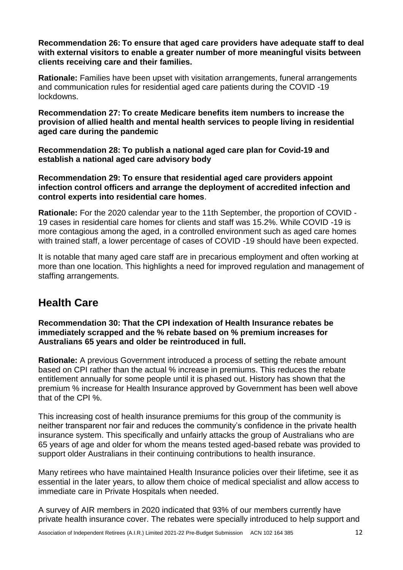**Recommendation 26: To ensure that aged care providers have adequate staff to deal with external visitors to enable a greater number of more meaningful visits between clients receiving care and their families.**

**Rationale:** Families have been upset with visitation arrangements, funeral arrangements and communication rules for residential aged care patients during the COVID -19 lockdowns.

**Recommendation 27: To create Medicare benefits item numbers to increase the provision of allied health and mental health services to people living in residential aged care during the pandemic**

**Recommendation 28: To publish a national aged care plan for Covid-19 and establish a national aged care advisory body**

**Recommendation 29: To ensure that residential aged care providers appoint infection control officers and arrange the deployment of accredited infection and control experts into residential care homes**.

**Rationale:** For the 2020 calendar year to the 11th September, the proportion of COVID - 19 cases in residential care homes for clients and staff was 15.2%. While COVID -19 is more contagious among the aged, in a controlled environment such as aged care homes with trained staff, a lower percentage of cases of COVID -19 should have been expected.

It is notable that many aged care staff are in precarious employment and often working at more than one location. This highlights a need for improved regulation and management of staffing arrangements.

# **Health Care**

**Recommendation 30: That the CPI indexation of Health Insurance rebates be immediately scrapped and the % rebate based on % premium increases for Australians 65 years and older be reintroduced in full.**

**Rationale:** A previous Government introduced a process of setting the rebate amount based on CPI rather than the actual % increase in premiums. This reduces the rebate entitlement annually for some people until it is phased out. History has shown that the premium % increase for Health Insurance approved by Government has been well above that of the CPI %.

This increasing cost of health insurance premiums for this group of the community is neither transparent nor fair and reduces the community's confidence in the private health insurance system. This specifically and unfairly attacks the group of Australians who are 65 years of age and older for whom the means tested aged-based rebate was provided to support older Australians in their continuing contributions to health insurance.

Many retirees who have maintained Health Insurance policies over their lifetime, see it as essential in the later years, to allow them choice of medical specialist and allow access to immediate care in Private Hospitals when needed.

A survey of AIR members in 2020 indicated that 93% of our members currently have private health insurance cover. The rebates were specially introduced to help support and